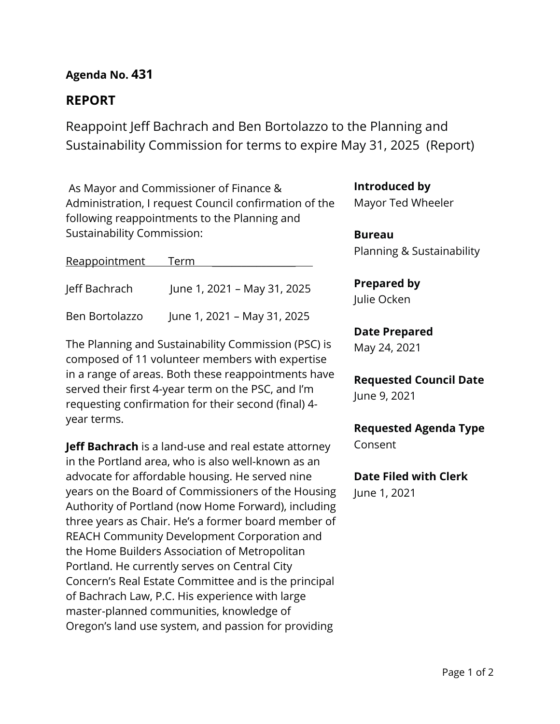# **Agenda No. 431**

# **REPORT**

Reappoint Jeff Bachrach and Ben Bortolazzo to the Planning and Sustainability Commission for terms to expire May 31, 2025 (Report)

As Mayor and Commissioner of Finance & Administration, I request Council confirmation of the following reappointments to the Planning and Sustainability Commission:

| Reappointment Term |                             |  |
|--------------------|-----------------------------|--|
| Jeff Bachrach      | June 1, 2021 - May 31, 2025 |  |
| Ben Bortolazzo     | June 1, 2021 - May 31, 2025 |  |

The Planning and Sustainability Commission (PSC) is composed of 11 volunteer members with expertise in a range of areas. Both these reappointments have served their first 4-year term on the PSC, and I'm requesting confirmation for their second (final) 4 year terms.

**Jeff Bachrach** is a land-use and real estate attorney in the Portland area, who is also well-known as an advocate for affordable housing. He served nine years on the Board of Commissioners of the Housing Authority of Portland (now Home Forward), including three years as Chair. He's a former board member of REACH Community Development Corporation and the Home Builders Association of Metropolitan Portland. He currently serves on Central City Concern's Real Estate Committee and is the principal of Bachrach Law, P.C. His experience with large master-planned communities, knowledge of Oregon's land use system, and passion for providing

**Introduced by**

Mayor Ted Wheeler

**Bureau** Planning & Sustainability

**Prepared by** Julie Ocken

## **Date Prepared**

May 24, 2021

**Requested Council Date** June 9, 2021

**Requested Agenda Type** Consent

**Date Filed with Clerk** 

June 1, 2021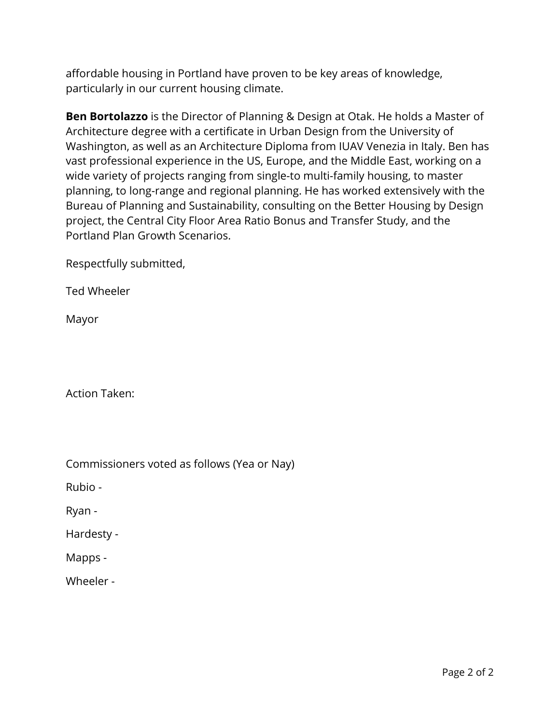affordable housing in Portland have proven to be key areas of knowledge, particularly in our current housing climate.

**Ben Bortolazzo** is the Director of Planning & Design at Otak. He holds a Master of Architecture degree with a certificate in Urban Design from the University of Washington, as well as an Architecture Diploma from IUAV Venezia in Italy. Ben has vast professional experience in the US, Europe, and the Middle East, working on a wide variety of projects ranging from single-to multi-family housing, to master planning, to long-range and regional planning. He has worked extensively with the Bureau of Planning and Sustainability, consulting on the Better Housing by Design project, the Central City Floor Area Ratio Bonus and Transfer Study, and the Portland Plan Growth Scenarios.

Respectfully submitted,

Ted Wheeler

Mayor

Action Taken:

| Commissioners voted as follows (Yea or Nay) |  |  |
|---------------------------------------------|--|--|
|                                             |  |  |

Rubio -

Ryan -

Hardesty -

Mapps -

Wheeler -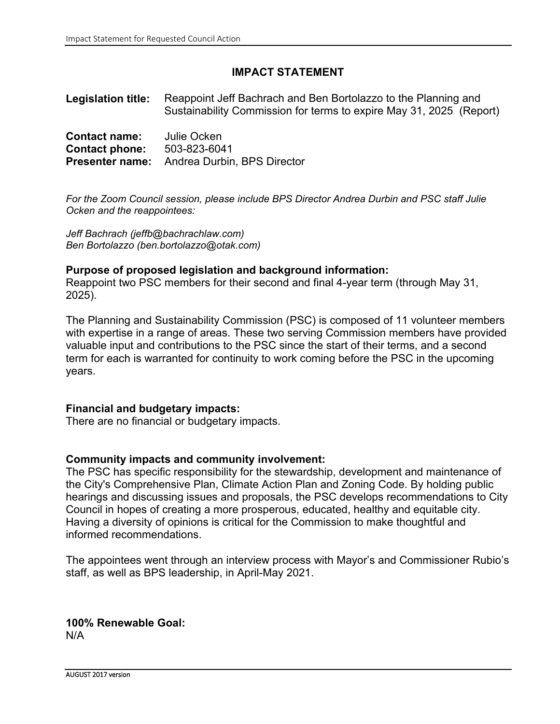### **IMPACT STATEMENT**

**Legislation title:** Reappoint Jeff Bachrach and Ben Bortolazzo to the Planning and Sustainability Commission for terms to expire May 31, 2025 (Report)

| <b>Contact name:</b>  | Julie Ocken                                        |
|-----------------------|----------------------------------------------------|
| <b>Contact phone:</b> | 503-823-6041                                       |
|                       | <b>Presenter name:</b> Andrea Durbin, BPS Director |

*For the Zoom Council session, please include BPS Director Andrea Durbin and PSC staff Julie Ocken and the reappointees:* 

*Jeff Bachrach (jeffb@bachrachlaw.com) Ben Bortolazzo (ben.bortolazzo@otak.com)*

#### **Purpose of proposed legislation and background information:**

Reappoint two PSC members for their second and final 4-year term (through May 31, 2025).

The Planning and Sustainability Commission (PSC) is composed of 11 volunteer members with expertise in a range of areas. These two serving Commission members have provided valuable input and contributions to the PSC since the start of their terms, and a second term for each is warranted for continuity to work coming before the PSC in the upcoming years.

#### **Financial and budgetary impacts:**

There are no financial or budgetary impacts.

#### **Community impacts and community involvement:**

The PSC has specific responsibility for the stewardship, development and maintenance of the City's Comprehensive Plan, Climate Action Plan and Zoning Code. By holding public hearings and discussing issues and proposals, the PSC develops recommendations to City Council in hopes of creating a more prosperous, educated, healthy and equitable city. Having a diversity of opinions is critical for the Commission to make thoughtful and informed recommendations.

The appointees went through an interview process with Mayor's and Commissioner Rubio's staff, as well as BPS leadership, in April-May 2021.

**100% Renewable Goal:** N/A